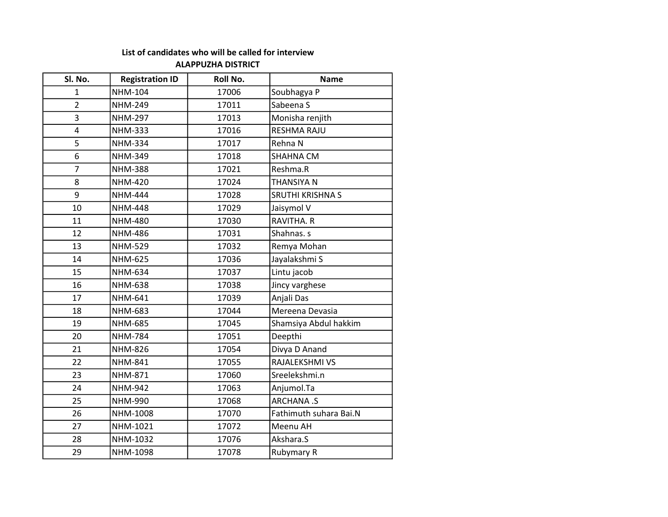## List of candidates who will be called for interview

## ALAPPUZHA DISTRICT

| Sl. No.        | <b>Registration ID</b> | Roll No. | <b>Name</b>             |
|----------------|------------------------|----------|-------------------------|
| 1              | <b>NHM-104</b>         | 17006    | Soubhagya P             |
| $\overline{2}$ | <b>NHM-249</b>         | 17011    | Sabeena S               |
| 3              | <b>NHM-297</b>         | 17013    | Monisha renjith         |
| 4              | <b>NHM-333</b>         | 17016    | <b>RESHMA RAJU</b>      |
| 5              | <b>NHM-334</b>         | 17017    | Rehna N                 |
| 6              | NHM-349                | 17018    | <b>SHAHNA CM</b>        |
| $\overline{7}$ | <b>NHM-388</b>         | 17021    | Reshma.R                |
| 8              | <b>NHM-420</b>         | 17024    | THANSIYA N              |
| 9              | <b>NHM-444</b>         | 17028    | <b>SRUTHI KRISHNA S</b> |
| 10             | <b>NHM-448</b>         | 17029    | Jaisymol V              |
| 11             | <b>NHM-480</b>         | 17030    | RAVITHA. R              |
| 12             | <b>NHM-486</b>         | 17031    | Shahnas. s              |
| 13             | <b>NHM-529</b>         | 17032    | Remya Mohan             |
| 14             | <b>NHM-625</b>         | 17036    | Jayalakshmi S           |
| 15             | <b>NHM-634</b>         | 17037    | Lintu jacob             |
| 16             | <b>NHM-638</b>         | 17038    | Jincy varghese          |
| 17             | NHM-641                | 17039    | Anjali Das              |
| 18             | NHM-683                | 17044    | Mereena Devasia         |
| 19             | <b>NHM-685</b>         | 17045    | Shamsiya Abdul hakkim   |
| 20             | <b>NHM-784</b>         | 17051    | Deepthi                 |
| 21             | <b>NHM-826</b>         | 17054    | Divya D Anand           |
| 22             | <b>NHM-841</b>         | 17055    | RAJALEKSHMI VS          |
| 23             | <b>NHM-871</b>         | 17060    | Sreelekshmi.n           |
| 24             | <b>NHM-942</b>         | 17063    | Anjumol.Ta              |
| 25             | NHM-990                | 17068    | <b>ARCHANA.S</b>        |
| 26             | NHM-1008               | 17070    | Fathimuth suhara Bai.N  |
| 27             | NHM-1021               | 17072    | Meenu AH                |
| 28             | NHM-1032               | 17076    | Akshara.S               |
| 29             | NHM-1098               | 17078    | Rubymary R              |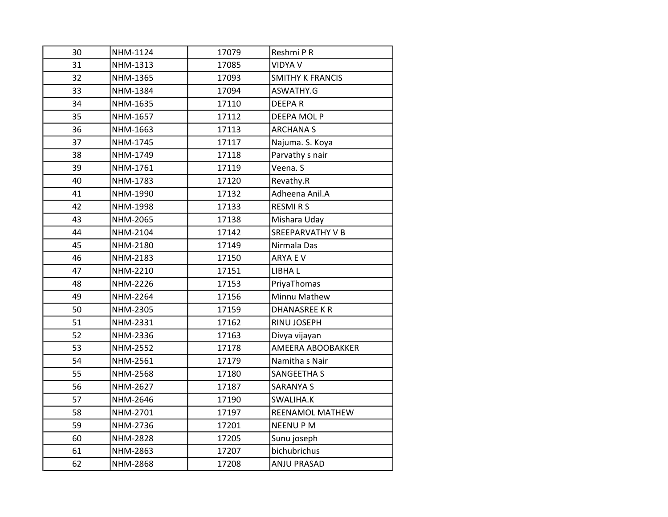| 30 | NHM-1124 | 17079 | Reshmi P R              |
|----|----------|-------|-------------------------|
| 31 | NHM-1313 | 17085 | <b>VIDYA V</b>          |
| 32 | NHM-1365 | 17093 | <b>SMITHY K FRANCIS</b> |
| 33 | NHM-1384 | 17094 | ASWATHY.G               |
| 34 | NHM-1635 | 17110 | <b>DEEPAR</b>           |
| 35 | NHM-1657 | 17112 | DEEPA MOL P             |
| 36 | NHM-1663 | 17113 | <b>ARCHANA S</b>        |
| 37 | NHM-1745 | 17117 | Najuma. S. Koya         |
| 38 | NHM-1749 | 17118 | Parvathy s nair         |
| 39 | NHM-1761 | 17119 | Veena. S                |
| 40 | NHM-1783 | 17120 | Revathy.R               |
| 41 | NHM-1990 | 17132 | Adheena Anil.A          |
| 42 | NHM-1998 | 17133 | <b>RESMIRS</b>          |
| 43 | NHM-2065 | 17138 | Mishara Uday            |
| 44 | NHM-2104 | 17142 | <b>SREEPARVATHY V B</b> |
| 45 | NHM-2180 | 17149 | Nirmala Das             |
| 46 | NHM-2183 | 17150 | ARYA E V                |
| 47 | NHM-2210 | 17151 | LIBHA L                 |
| 48 | NHM-2226 | 17153 | PriyaThomas             |
| 49 | NHM-2264 | 17156 | Minnu Mathew            |
| 50 | NHM-2305 | 17159 | <b>DHANASREE KR</b>     |
| 51 | NHM-2331 | 17162 | RINU JOSEPH             |
| 52 | NHM-2336 | 17163 | Divya vijayan           |
| 53 | NHM-2552 | 17178 | AMEERA ABOOBAKKER       |
| 54 | NHM-2561 | 17179 | Namitha s Nair          |
| 55 | NHM-2568 | 17180 | <b>SANGEETHA S</b>      |
| 56 | NHM-2627 | 17187 | <b>SARANYA S</b>        |
| 57 | NHM-2646 | 17190 | SWALIHA.K               |
| 58 | NHM-2701 | 17197 | REENAMOL MATHEW         |
| 59 | NHM-2736 | 17201 | <b>NEENUPM</b>          |
| 60 | NHM-2828 | 17205 | Sunu joseph             |
| 61 | NHM-2863 | 17207 | bichubrichus            |
| 62 | NHM-2868 | 17208 | <b>ANJU PRASAD</b>      |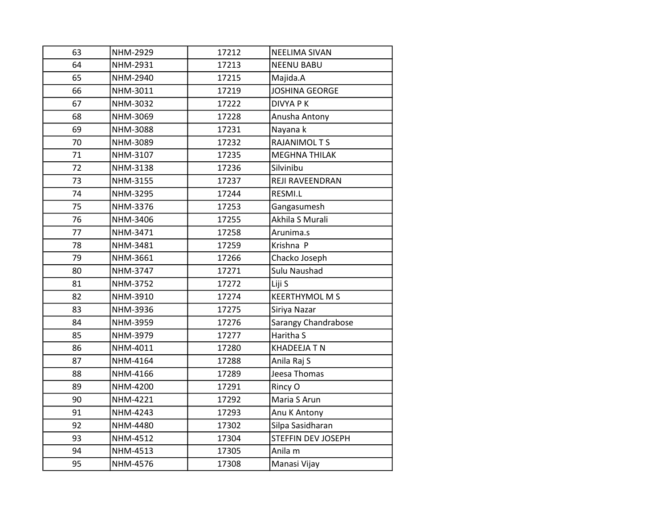| 63 | NHM-2929 | 17212 | <b>NEELIMA SIVAN</b>       |
|----|----------|-------|----------------------------|
| 64 | NHM-2931 | 17213 | <b>NEENU BABU</b>          |
| 65 | NHM-2940 | 17215 | Majida.A                   |
| 66 | NHM-3011 | 17219 | <b>JOSHINA GEORGE</b>      |
| 67 | NHM-3032 | 17222 | <b>DIVYA PK</b>            |
| 68 | NHM-3069 | 17228 | Anusha Antony              |
| 69 | NHM-3088 | 17231 | Nayana k                   |
| 70 | NHM-3089 | 17232 | <b>RAJANIMOL T S</b>       |
| 71 | NHM-3107 | 17235 | <b>MEGHNA THILAK</b>       |
| 72 | NHM-3138 | 17236 | Silvinibu                  |
| 73 | NHM-3155 | 17237 | REJI RAVEENDRAN            |
| 74 | NHM-3295 | 17244 | RESMI.L                    |
| 75 | NHM-3376 | 17253 | Gangasumesh                |
| 76 | NHM-3406 | 17255 | Akhila S Murali            |
| 77 | NHM-3471 | 17258 | Arunima.s                  |
| 78 | NHM-3481 | 17259 | Krishna P                  |
| 79 | NHM-3661 | 17266 | Chacko Joseph              |
| 80 | NHM-3747 | 17271 | Sulu Naushad               |
| 81 | NHM-3752 | 17272 | Liji S                     |
| 82 | NHM-3910 | 17274 | <b>KEERTHYMOL M S</b>      |
| 83 | NHM-3936 | 17275 | Siriya Nazar               |
| 84 | NHM-3959 | 17276 | <b>Sarangy Chandrabose</b> |
| 85 | NHM-3979 | 17277 | Haritha S                  |
| 86 | NHM-4011 | 17280 | <b>KHADEEJA T N</b>        |
| 87 | NHM-4164 | 17288 | Anila Raj S                |
| 88 | NHM-4166 | 17289 | Jeesa Thomas               |
| 89 | NHM-4200 | 17291 | Rincy O                    |
| 90 | NHM-4221 | 17292 | Maria S Arun               |
| 91 | NHM-4243 | 17293 | Anu K Antony               |
| 92 | NHM-4480 | 17302 | Silpa Sasidharan           |
| 93 | NHM-4512 | 17304 | <b>STEFFIN DEV JOSEPH</b>  |
| 94 | NHM-4513 | 17305 | Anila <sub>m</sub>         |
| 95 | NHM-4576 | 17308 | Manasi Vijay               |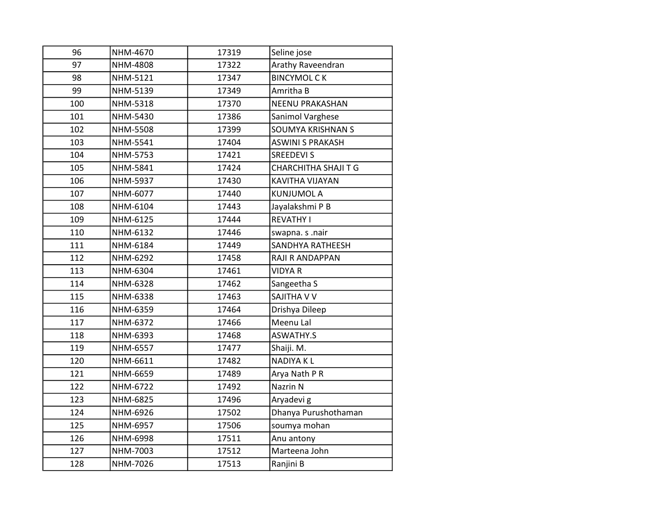| 96  | NHM-4670 | 17319 | Seline jose                 |
|-----|----------|-------|-----------------------------|
| 97  | NHM-4808 | 17322 | Arathy Raveendran           |
| 98  | NHM-5121 | 17347 | <b>BINCYMOL CK</b>          |
| 99  | NHM-5139 | 17349 | Amritha B                   |
| 100 | NHM-5318 | 17370 | <b>NEENU PRAKASHAN</b>      |
| 101 | NHM-5430 | 17386 | Sanimol Varghese            |
| 102 | NHM-5508 | 17399 | SOUMYA KRISHNAN S           |
| 103 | NHM-5541 | 17404 | <b>ASWINI S PRAKASH</b>     |
| 104 | NHM-5753 | 17421 | <b>SREEDEVI S</b>           |
| 105 | NHM-5841 | 17424 | <b>CHARCHITHA SHAJI T G</b> |
| 106 | NHM-5937 | 17430 | KAVITHA VIJAYAN             |
| 107 | NHM-6077 | 17440 | <b>KUNJUMOL A</b>           |
| 108 | NHM-6104 | 17443 | Jayalakshmi P B             |
| 109 | NHM-6125 | 17444 | <b>REVATHY I</b>            |
| 110 | NHM-6132 | 17446 | swapna. s .nair             |
| 111 | NHM-6184 | 17449 | SANDHYA RATHEESH            |
| 112 | NHM-6292 | 17458 | RAJI R ANDAPPAN             |
| 113 | NHM-6304 | 17461 | <b>VIDYA R</b>              |
| 114 | NHM-6328 | 17462 | Sangeetha S                 |
| 115 | NHM-6338 | 17463 | SAJITHA V V                 |
| 116 | NHM-6359 | 17464 | Drishya Dileep              |
| 117 | NHM-6372 | 17466 | Meenu Lal                   |
| 118 | NHM-6393 | 17468 | <b>ASWATHY.S</b>            |
| 119 | NHM-6557 | 17477 | Shaiji. M.                  |
| 120 | NHM-6611 | 17482 | <b>NADIYAKL</b>             |
| 121 | NHM-6659 | 17489 | Arya Nath P R               |
| 122 | NHM-6722 | 17492 | Nazrin N                    |
| 123 | NHM-6825 | 17496 | Aryadevi g                  |
| 124 | NHM-6926 | 17502 | Dhanya Purushothaman        |
| 125 | NHM-6957 | 17506 | soumya mohan                |
| 126 | NHM-6998 | 17511 | Anu antony                  |
| 127 | NHM-7003 | 17512 | Marteena John               |
| 128 | NHM-7026 | 17513 | Ranjini B                   |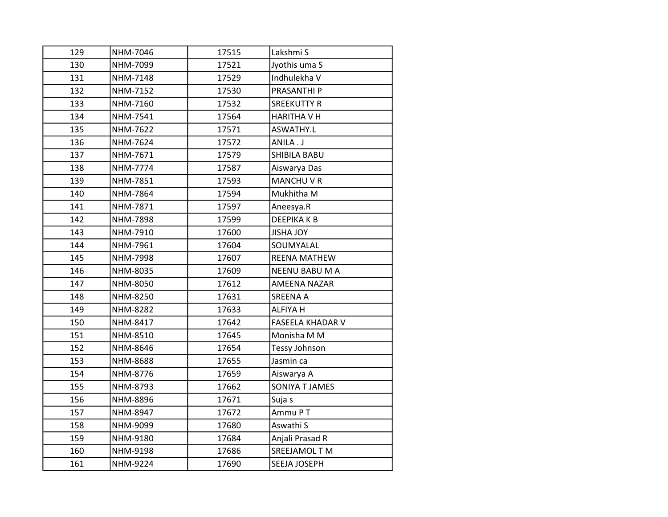| 129 | NHM-7046 | 17515 | Lakshmi S               |
|-----|----------|-------|-------------------------|
| 130 | NHM-7099 | 17521 | Jyothis uma S           |
| 131 | NHM-7148 | 17529 | Indhulekha V            |
| 132 | NHM-7152 | 17530 | PRASANTHI P             |
| 133 | NHM-7160 | 17532 | <b>SREEKUTTY R</b>      |
| 134 | NHM-7541 | 17564 | <b>HARITHA V H</b>      |
| 135 | NHM-7622 | 17571 | ASWATHY.L               |
| 136 | NHM-7624 | 17572 | ANILA.J                 |
| 137 | NHM-7671 | 17579 | SHIBILA BABU            |
| 138 | NHM-7774 | 17587 | Aiswarya Das            |
| 139 | NHM-7851 | 17593 | <b>MANCHUVR</b>         |
| 140 | NHM-7864 | 17594 | Mukhitha M              |
| 141 | NHM-7871 | 17597 | Aneesya.R               |
| 142 | NHM-7898 | 17599 | <b>DEEPIKAKB</b>        |
| 143 | NHM-7910 | 17600 | <b>JISHA JOY</b>        |
| 144 | NHM-7961 | 17604 | SOUMYALAL               |
| 145 | NHM-7998 | 17607 | <b>REENA MATHEW</b>     |
| 146 | NHM-8035 | 17609 | NEENU BABU M A          |
| 147 | NHM-8050 | 17612 | AMEENA NAZAR            |
| 148 | NHM-8250 | 17631 | <b>SREENA A</b>         |
| 149 | NHM-8282 | 17633 | <b>ALFIYA H</b>         |
| 150 | NHM-8417 | 17642 | <b>FASEELA KHADAR V</b> |
| 151 | NHM-8510 | 17645 | Monisha M M             |
| 152 | NHM-8646 | 17654 | Tessy Johnson           |
| 153 | NHM-8688 | 17655 | Jasmin ca               |
| 154 | NHM-8776 | 17659 | Aiswarya A              |
| 155 | NHM-8793 | 17662 | SONIYA T JAMES          |
| 156 | NHM-8896 | 17671 | Suja s                  |
| 157 | NHM-8947 | 17672 | Ammu PT                 |
| 158 | NHM-9099 | 17680 | Aswathi S               |
| 159 | NHM-9180 | 17684 | Anjali Prasad R         |
| 160 | NHM-9198 | 17686 | SREEJAMOL T M           |
| 161 | NHM-9224 | 17690 | SEEJA JOSEPH            |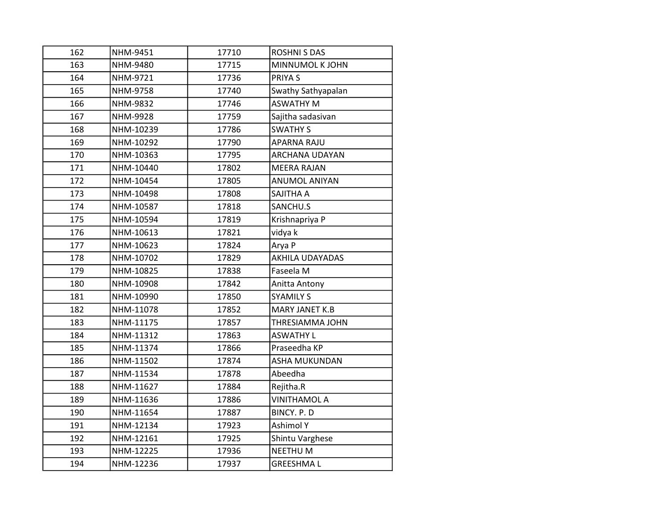| 162 | NHM-9451  | 17710 | <b>ROSHNI S DAS</b>    |
|-----|-----------|-------|------------------------|
| 163 | NHM-9480  | 17715 | MINNUMOL K JOHN        |
| 164 | NHM-9721  | 17736 | <b>PRIYAS</b>          |
| 165 | NHM-9758  | 17740 | Swathy Sathyapalan     |
| 166 | NHM-9832  | 17746 | <b>ASWATHY M</b>       |
| 167 | NHM-9928  | 17759 | Sajitha sadasivan      |
| 168 | NHM-10239 | 17786 | <b>SWATHY S</b>        |
| 169 | NHM-10292 | 17790 | <b>APARNA RAJU</b>     |
| 170 | NHM-10363 | 17795 | ARCHANA UDAYAN         |
| 171 | NHM-10440 | 17802 | <b>MEERA RAJAN</b>     |
| 172 | NHM-10454 | 17805 | <b>ANUMOL ANIYAN</b>   |
| 173 | NHM-10498 | 17808 | <b>SAJITHA A</b>       |
| 174 | NHM-10587 | 17818 | SANCHU.S               |
| 175 | NHM-10594 | 17819 | Krishnapriya P         |
| 176 | NHM-10613 | 17821 | vidya k                |
| 177 | NHM-10623 | 17824 | Arya P                 |
| 178 | NHM-10702 | 17829 | <b>AKHILA UDAYADAS</b> |
| 179 | NHM-10825 | 17838 | Faseela M              |
| 180 | NHM-10908 | 17842 | Anitta Antony          |
| 181 | NHM-10990 | 17850 | <b>SYAMILY S</b>       |
| 182 | NHM-11078 | 17852 | MARY JANET K.B         |
| 183 | NHM-11175 | 17857 | THRESIAMMA JOHN        |
| 184 | NHM-11312 | 17863 | <b>ASWATHY L</b>       |
| 185 | NHM-11374 | 17866 | Praseedha KP           |
| 186 | NHM-11502 | 17874 | ASHA MUKUNDAN          |
| 187 | NHM-11534 | 17878 | Abeedha                |
| 188 | NHM-11627 | 17884 | Rejitha.R              |
| 189 | NHM-11636 | 17886 | <b>VINITHAMOL A</b>    |
| 190 | NHM-11654 | 17887 | BINCY. P. D            |
| 191 | NHM-12134 | 17923 | <b>Ashimol Y</b>       |
| 192 | NHM-12161 | 17925 | Shintu Varghese        |
| 193 | NHM-12225 | 17936 | <b>NEETHUM</b>         |
| 194 | NHM-12236 | 17937 | <b>GREESHMAL</b>       |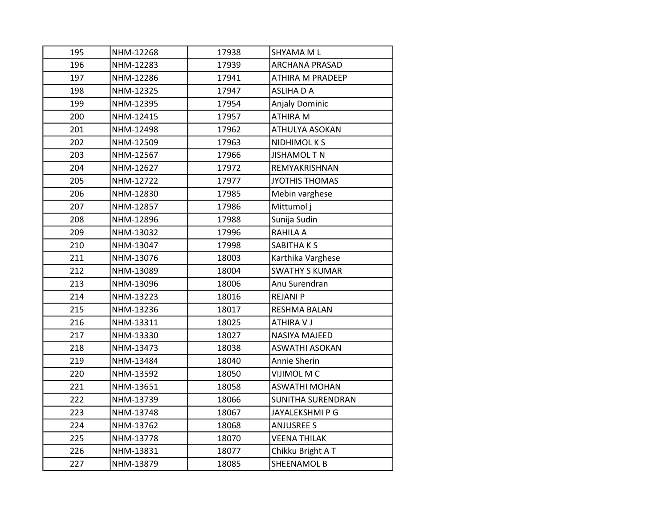| 195 | NHM-12268 | 17938 | SHYAMA M L               |
|-----|-----------|-------|--------------------------|
| 196 | NHM-12283 | 17939 | <b>ARCHANA PRASAD</b>    |
| 197 | NHM-12286 | 17941 | ATHIRA M PRADEEP         |
| 198 | NHM-12325 | 17947 | <b>ASLIHA D A</b>        |
| 199 | NHM-12395 | 17954 | Anjaly Dominic           |
| 200 | NHM-12415 | 17957 | ATHIRA M                 |
| 201 | NHM-12498 | 17962 | ATHULYA ASOKAN           |
| 202 | NHM-12509 | 17963 | <b>NIDHIMOLKS</b>        |
| 203 | NHM-12567 | 17966 | <b>JISHAMOL T N</b>      |
| 204 | NHM-12627 | 17972 | REMYAKRISHNAN            |
| 205 | NHM-12722 | 17977 | <b>JYOTHIS THOMAS</b>    |
| 206 | NHM-12830 | 17985 | Mebin varghese           |
| 207 | NHM-12857 | 17986 | Mittumol j               |
| 208 | NHM-12896 | 17988 | Sunija Sudin             |
| 209 | NHM-13032 | 17996 | RAHILA A                 |
| 210 | NHM-13047 | 17998 | SABITHA K S              |
| 211 | NHM-13076 | 18003 | Karthika Varghese        |
| 212 | NHM-13089 | 18004 | <b>SWATHY S KUMAR</b>    |
| 213 | NHM-13096 | 18006 | Anu Surendran            |
| 214 | NHM-13223 | 18016 | <b>REJANI P</b>          |
| 215 | NHM-13236 | 18017 | <b>RESHMA BALAN</b>      |
| 216 | NHM-13311 | 18025 | ATHIRA V J               |
| 217 | NHM-13330 | 18027 | <b>NASIYA MAJEED</b>     |
| 218 | NHM-13473 | 18038 | <b>ASWATHI ASOKAN</b>    |
| 219 | NHM-13484 | 18040 | Annie Sherin             |
| 220 | NHM-13592 | 18050 | VIJIMOL M C              |
| 221 | NHM-13651 | 18058 | <b>ASWATHI MOHAN</b>     |
| 222 | NHM-13739 | 18066 | <b>SUNITHA SURENDRAN</b> |
| 223 | NHM-13748 | 18067 | JAYALEKSHMI P G          |
| 224 | NHM-13762 | 18068 | <b>ANJUSREE S</b>        |
| 225 | NHM-13778 | 18070 | <b>VEENA THILAK</b>      |
| 226 | NHM-13831 | 18077 | Chikku Bright AT         |
| 227 | NHM-13879 | 18085 | <b>SHEENAMOL B</b>       |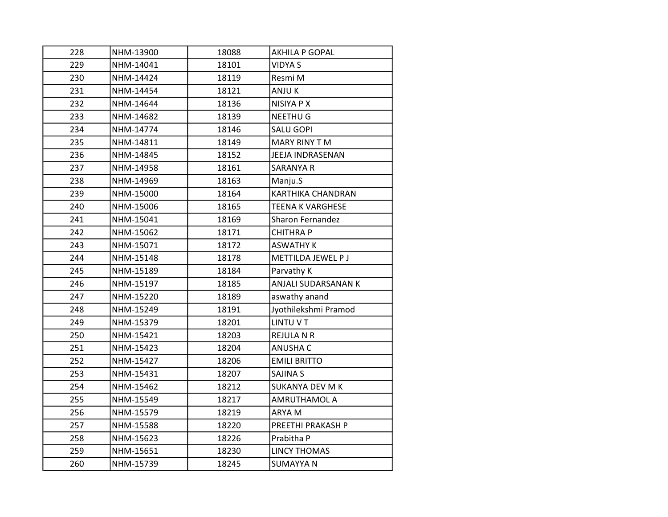| 228 | NHM-13900 | 18088 | <b>AKHILA P GOPAL</b>    |
|-----|-----------|-------|--------------------------|
| 229 | NHM-14041 | 18101 | <b>VIDYA S</b>           |
| 230 | NHM-14424 | 18119 | Resmi M                  |
| 231 | NHM-14454 | 18121 | ANJU K                   |
| 232 | NHM-14644 | 18136 | NISIYA P X               |
| 233 | NHM-14682 | 18139 | <b>NEETHUG</b>           |
| 234 | NHM-14774 | 18146 | <b>SALU GOPI</b>         |
| 235 | NHM-14811 | 18149 | MARY RINY T M            |
| 236 | NHM-14845 | 18152 | JEEJA INDRASENAN         |
| 237 | NHM-14958 | 18161 | <b>SARANYA R</b>         |
| 238 | NHM-14969 | 18163 | Manju.S                  |
| 239 | NHM-15000 | 18164 | <b>KARTHIKA CHANDRAN</b> |
| 240 | NHM-15006 | 18165 | <b>TEENA K VARGHESE</b>  |
| 241 | NHM-15041 | 18169 | <b>Sharon Fernandez</b>  |
| 242 | NHM-15062 | 18171 | <b>CHITHRAP</b>          |
| 243 | NHM-15071 | 18172 | <b>ASWATHY K</b>         |
| 244 | NHM-15148 | 18178 | METTILDA JEWEL P J       |
| 245 | NHM-15189 | 18184 | Parvathy K               |
| 246 | NHM-15197 | 18185 | ANJALI SUDARSANAN K      |
| 247 | NHM-15220 | 18189 | aswathy anand            |
| 248 | NHM-15249 | 18191 | Jyothilekshmi Pramod     |
| 249 | NHM-15379 | 18201 | LINTU V T                |
| 250 | NHM-15421 | 18203 | <b>REJULA N R</b>        |
| 251 | NHM-15423 | 18204 | <b>ANUSHA C</b>          |
| 252 | NHM-15427 | 18206 | <b>EMILI BRITTO</b>      |
| 253 | NHM-15431 | 18207 | <b>SAJINA S</b>          |
| 254 | NHM-15462 | 18212 | <b>SUKANYA DEV M K</b>   |
| 255 | NHM-15549 | 18217 | AMRUTHAMOL A             |
| 256 | NHM-15579 | 18219 | ARYA M                   |
| 257 | NHM-15588 | 18220 | PREETHI PRAKASH P        |
| 258 | NHM-15623 | 18226 | Prabitha P               |
| 259 | NHM-15651 | 18230 | <b>LINCY THOMAS</b>      |
| 260 | NHM-15739 | 18245 | <b>SUMAYYA N</b>         |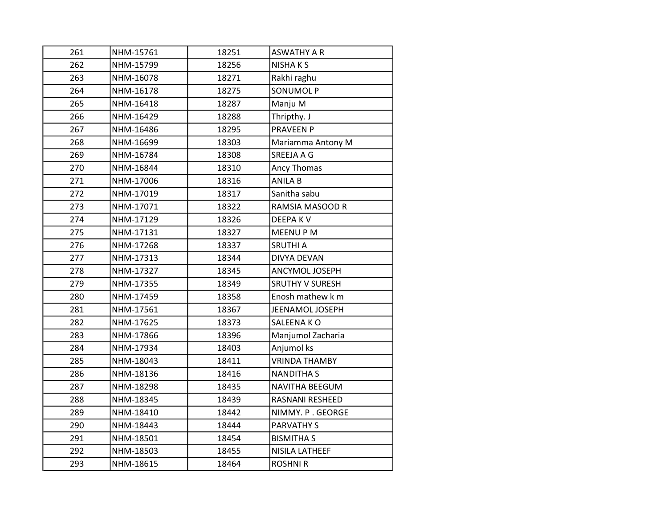| 261 | NHM-15761 | 18251 | <b>ASWATHY A R</b>     |
|-----|-----------|-------|------------------------|
| 262 | NHM-15799 | 18256 | <b>NISHAKS</b>         |
| 263 | NHM-16078 | 18271 | Rakhi raghu            |
| 264 | NHM-16178 | 18275 | <b>SONUMOL P</b>       |
| 265 | NHM-16418 | 18287 | Manju M                |
| 266 | NHM-16429 | 18288 | Thripthy. J            |
| 267 | NHM-16486 | 18295 | <b>PRAVEEN P</b>       |
| 268 | NHM-16699 | 18303 | Mariamma Antony M      |
| 269 | NHM-16784 | 18308 | SREEJA A G             |
| 270 | NHM-16844 | 18310 | Ancy Thomas            |
| 271 | NHM-17006 | 18316 | <b>ANILA B</b>         |
| 272 | NHM-17019 | 18317 | Sanitha sabu           |
| 273 | NHM-17071 | 18322 | RAMSIA MASOOD R        |
| 274 | NHM-17129 | 18326 | <b>DEEPAKV</b>         |
| 275 | NHM-17131 | 18327 | <b>MEENUPM</b>         |
| 276 | NHM-17268 | 18337 | <b>SRUTHI A</b>        |
| 277 | NHM-17313 | 18344 | <b>DIVYA DEVAN</b>     |
| 278 | NHM-17327 | 18345 | ANCYMOL JOSEPH         |
| 279 | NHM-17355 | 18349 | <b>SRUTHY V SURESH</b> |
| 280 | NHM-17459 | 18358 | Enosh mathew k m       |
| 281 | NHM-17561 | 18367 | JEENAMOL JOSEPH        |
| 282 | NHM-17625 | 18373 | SALEENA KO             |
| 283 | NHM-17866 | 18396 | Manjumol Zacharia      |
| 284 | NHM-17934 | 18403 | Anjumol ks             |
| 285 | NHM-18043 | 18411 | <b>VRINDA THAMBY</b>   |
| 286 | NHM-18136 | 18416 | <b>NANDITHA S</b>      |
| 287 | NHM-18298 | 18435 | <b>NAVITHA BEEGUM</b>  |
| 288 | NHM-18345 | 18439 | RASNANI RESHEED        |
| 289 | NHM-18410 | 18442 | NIMMY. P. GEORGE       |
| 290 | NHM-18443 | 18444 | <b>PARVATHY S</b>      |
| 291 | NHM-18501 | 18454 | <b>BISMITHA S</b>      |
| 292 | NHM-18503 | 18455 | <b>NISILA LATHEEF</b>  |
| 293 | NHM-18615 | 18464 | <b>ROSHNI R</b>        |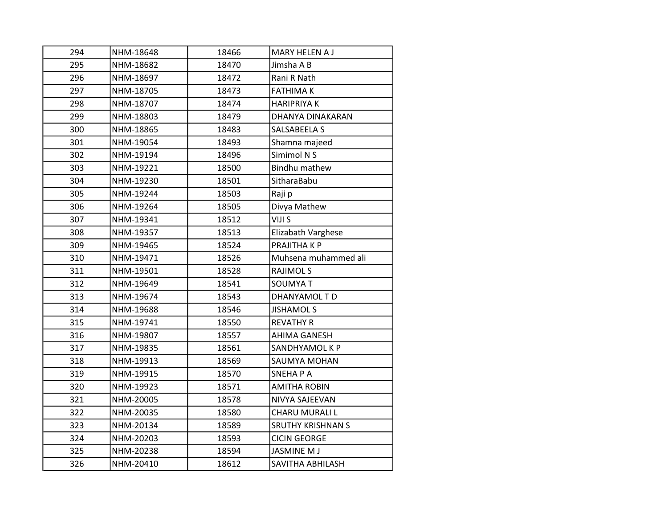| 294 | NHM-18648 | 18466 | MARY HELEN A J           |
|-----|-----------|-------|--------------------------|
| 295 | NHM-18682 | 18470 | Jimsha A B               |
| 296 | NHM-18697 | 18472 | Rani R Nath              |
| 297 | NHM-18705 | 18473 | <b>FATHIMAK</b>          |
| 298 | NHM-18707 | 18474 | <b>HARIPRIYAK</b>        |
| 299 | NHM-18803 | 18479 | DHANYA DINAKARAN         |
| 300 | NHM-18865 | 18483 | SALSABEELA S             |
| 301 | NHM-19054 | 18493 | Shamna majeed            |
| 302 | NHM-19194 | 18496 | Simimol N S              |
| 303 | NHM-19221 | 18500 | Bindhu mathew            |
| 304 | NHM-19230 | 18501 | SitharaBabu              |
| 305 | NHM-19244 | 18503 | Raji p                   |
| 306 | NHM-19264 | 18505 | Divya Mathew             |
| 307 | NHM-19341 | 18512 | VIJI S                   |
| 308 | NHM-19357 | 18513 | Elizabath Varghese       |
| 309 | NHM-19465 | 18524 | PRAJITHA K P             |
| 310 | NHM-19471 | 18526 | Muhsena muhammed ali     |
| 311 | NHM-19501 | 18528 | <b>RAJIMOLS</b>          |
| 312 | NHM-19649 | 18541 | <b>SOUMYAT</b>           |
| 313 | NHM-19674 | 18543 | DHANYAMOL TD             |
| 314 | NHM-19688 | 18546 | <b>JISHAMOL S</b>        |
| 315 | NHM-19741 | 18550 | <b>REVATHY R</b>         |
| 316 | NHM-19807 | 18557 | <b>AHIMA GANESH</b>      |
| 317 | NHM-19835 | 18561 | SANDHYAMOL K P           |
| 318 | NHM-19913 | 18569 | SAUMYA MOHAN             |
| 319 | NHM-19915 | 18570 | <b>SNEHAPA</b>           |
| 320 | NHM-19923 | 18571 | <b>AMITHA ROBIN</b>      |
| 321 | NHM-20005 | 18578 | NIVYA SAJEEVAN           |
| 322 | NHM-20035 | 18580 | CHARU MURALI L           |
| 323 | NHM-20134 | 18589 | <b>SRUTHY KRISHNAN S</b> |
| 324 | NHM-20203 | 18593 | <b>CICIN GEORGE</b>      |
| 325 | NHM-20238 | 18594 | <b>JASMINE M J</b>       |
| 326 | NHM-20410 | 18612 | SAVITHA ABHILASH         |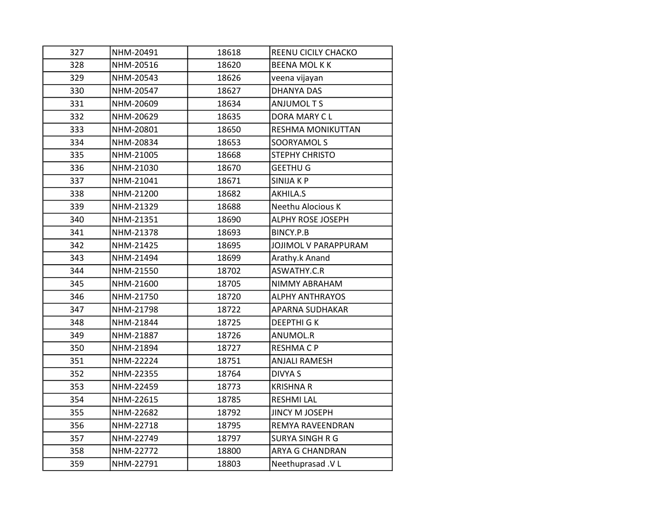| 327 | NHM-20491 | 18618 | REENU CICILY CHACKO    |
|-----|-----------|-------|------------------------|
| 328 | NHM-20516 | 18620 | <b>BEENA MOLKK</b>     |
| 329 | NHM-20543 | 18626 | veena vijayan          |
| 330 | NHM-20547 | 18627 | <b>DHANYA DAS</b>      |
| 331 | NHM-20609 | 18634 | <b>ANJUMOL T S</b>     |
| 332 | NHM-20629 | 18635 | DORA MARY CL           |
| 333 | NHM-20801 | 18650 | RESHMA MONIKUTTAN      |
| 334 | NHM-20834 | 18653 | SOORYAMOL S            |
| 335 | NHM-21005 | 18668 | STEPHY CHRISTO         |
| 336 | NHM-21030 | 18670 | <b>GEETHU G</b>        |
| 337 | NHM-21041 | 18671 | SINIJA K P             |
| 338 | NHM-21200 | 18682 | AKHILA.S               |
| 339 | NHM-21329 | 18688 | Neethu Alocious K      |
| 340 | NHM-21351 | 18690 | ALPHY ROSE JOSEPH      |
| 341 | NHM-21378 | 18693 | BINCY.P.B              |
| 342 | NHM-21425 | 18695 | JOJIMOL V PARAPPURAM   |
| 343 | NHM-21494 | 18699 | Arathy.k Anand         |
| 344 | NHM-21550 | 18702 | ASWATHY.C.R            |
| 345 | NHM-21600 | 18705 | NIMMY ABRAHAM          |
| 346 | NHM-21750 | 18720 | <b>ALPHY ANTHRAYOS</b> |
| 347 | NHM-21798 | 18722 | APARNA SUDHAKAR        |
| 348 | NHM-21844 | 18725 | DEEPTHI G K            |
| 349 | NHM-21887 | 18726 | ANUMOL.R               |
| 350 | NHM-21894 | 18727 | <b>RESHMACP</b>        |
| 351 | NHM-22224 | 18751 | <b>ANJALI RAMESH</b>   |
| 352 | NHM-22355 | 18764 | <b>DIVYA S</b>         |
| 353 | NHM-22459 | 18773 | <b>KRISHNAR</b>        |
| 354 | NHM-22615 | 18785 | <b>RESHMI LAL</b>      |
| 355 | NHM-22682 | 18792 | <b>JINCY M JOSEPH</b>  |
| 356 | NHM-22718 | 18795 | REMYA RAVEENDRAN       |
| 357 | NHM-22749 | 18797 | <b>SURYA SINGH R G</b> |
| 358 | NHM-22772 | 18800 | ARYA G CHANDRAN        |
| 359 | NHM-22791 | 18803 | Neethuprasad .V L      |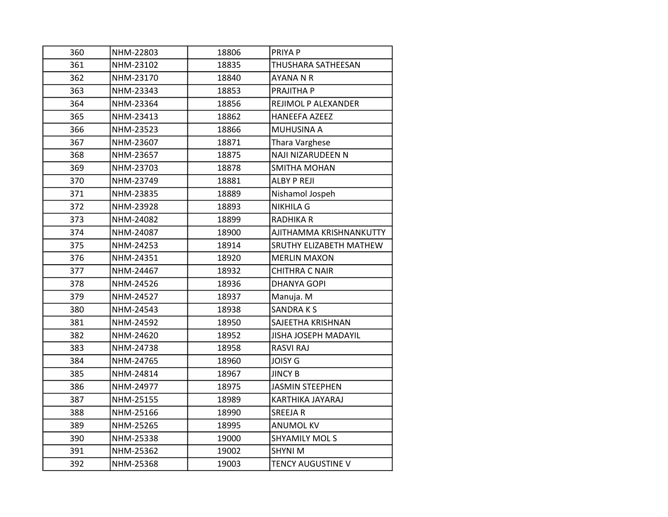| 360 | NHM-22803 | 18806 | PRIYA P                        |
|-----|-----------|-------|--------------------------------|
| 361 | NHM-23102 | 18835 | THUSHARA SATHEESAN             |
| 362 | NHM-23170 | 18840 | <b>AYANA N R</b>               |
| 363 | NHM-23343 | 18853 | PRAJITHA P                     |
| 364 | NHM-23364 | 18856 | REJIMOL P ALEXANDER            |
| 365 | NHM-23413 | 18862 | <b>HANEEFA AZEEZ</b>           |
| 366 | NHM-23523 | 18866 | MUHUSINA A                     |
| 367 | NHM-23607 | 18871 | Thara Varghese                 |
| 368 | NHM-23657 | 18875 | NAJI NIZARUDEEN N              |
| 369 | NHM-23703 | 18878 | SMITHA MOHAN                   |
| 370 | NHM-23749 | 18881 | <b>ALBY P REJI</b>             |
| 371 | NHM-23835 | 18889 | Nishamol Jospeh                |
| 372 | NHM-23928 | 18893 | <b>NIKHILA G</b>               |
| 373 | NHM-24082 | 18899 | <b>RADHIKA R</b>               |
| 374 | NHM-24087 | 18900 | AJITHAMMA KRISHNANKUTTY        |
| 375 | NHM-24253 | 18914 | <b>SRUTHY ELIZABETH MATHEW</b> |
| 376 | NHM-24351 | 18920 | <b>MERLIN MAXON</b>            |
| 377 | NHM-24467 | 18932 | <b>CHITHRA C NAIR</b>          |
| 378 | NHM-24526 | 18936 | <b>DHANYA GOPI</b>             |
| 379 | NHM-24527 | 18937 | Manuja. M                      |
| 380 | NHM-24543 | 18938 | <b>SANDRAKS</b>                |
| 381 | NHM-24592 | 18950 | SAJEETHA KRISHNAN              |
| 382 | NHM-24620 | 18952 | <b>JISHA JOSEPH MADAYIL</b>    |
| 383 | NHM-24738 | 18958 | <b>RASVI RAJ</b>               |
| 384 | NHM-24765 | 18960 | <b>JOISY G</b>                 |
| 385 | NHM-24814 | 18967 | <b>JINCY B</b>                 |
| 386 | NHM-24977 | 18975 | <b>JASMIN STEEPHEN</b>         |
| 387 | NHM-25155 | 18989 | KARTHIKA JAYARAJ               |
| 388 | NHM-25166 | 18990 | <b>SREEJAR</b>                 |
| 389 | NHM-25265 | 18995 | <b>ANUMOL KV</b>               |
| 390 | NHM-25338 | 19000 | <b>SHYAMILY MOLS</b>           |
| 391 | NHM-25362 | 19002 | <b>SHYNI M</b>                 |
| 392 | NHM-25368 | 19003 | <b>TENCY AUGUSTINE V</b>       |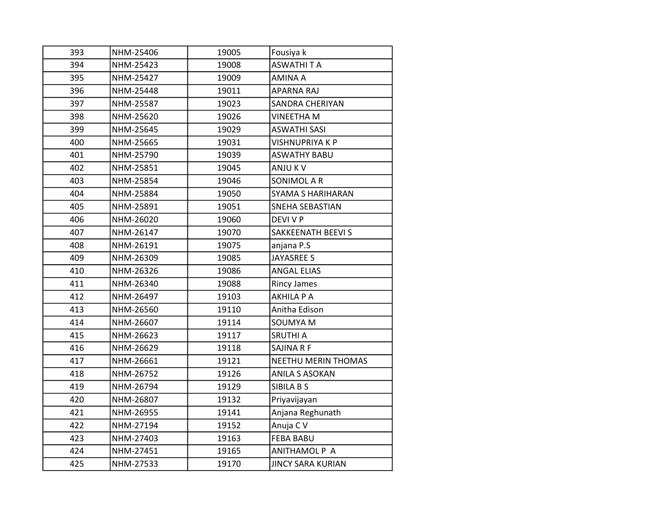| 393 | NHM-25406 | 19005 | Fousiya k                |
|-----|-----------|-------|--------------------------|
| 394 | NHM-25423 | 19008 | <b>ASWATHITA</b>         |
| 395 | NHM-25427 | 19009 | <b>AMINA A</b>           |
| 396 | NHM-25448 | 19011 | <b>APARNA RAJ</b>        |
| 397 | NHM-25587 | 19023 | <b>SANDRA CHERIYAN</b>   |
| 398 | NHM-25620 | 19026 | <b>VINEETHA M</b>        |
| 399 | NHM-25645 | 19029 | <b>ASWATHI SASI</b>      |
| 400 | NHM-25665 | 19031 | <b>VISHNUPRIYA K P</b>   |
| 401 | NHM-25790 | 19039 | <b>ASWATHY BABU</b>      |
| 402 | NHM-25851 | 19045 | ANJU K V                 |
| 403 | NHM-25854 | 19046 | SONIMOL A R              |
| 404 | NHM-25884 | 19050 | SYAMA S HARIHARAN        |
| 405 | NHM-25891 | 19051 | SNEHA SEBASTIAN          |
| 406 | NHM-26020 | 19060 | <b>DEVI V P</b>          |
| 407 | NHM-26147 | 19070 | SAKKEENATH BEEVI S       |
| 408 | NHM-26191 | 19075 | anjana P.S               |
| 409 | NHM-26309 | 19085 | <b>JAYASREE S</b>        |
| 410 | NHM-26326 | 19086 | <b>ANGAL ELIAS</b>       |
| 411 | NHM-26340 | 19088 | <b>Rincy James</b>       |
| 412 | NHM-26497 | 19103 | AKHILA P A               |
| 413 | NHM-26560 | 19110 | Anitha Edison            |
| 414 | NHM-26607 | 19114 | <b>SOUMYA M</b>          |
| 415 | NHM-26623 | 19117 | <b>SRUTHI A</b>          |
| 416 | NHM-26629 | 19118 | SAJINA R F               |
| 417 | NHM-26661 | 19121 | NEETHU MERIN THOMAS      |
| 418 | NHM-26752 | 19126 | <b>ANILA S ASOKAN</b>    |
| 419 | NHM-26794 | 19129 | SIBILA B S               |
| 420 | NHM-26807 | 19132 | Priyavijayan             |
| 421 | NHM-26955 | 19141 | Anjana Reghunath         |
| 422 | NHM-27194 | 19152 | Anuja C V                |
| 423 | NHM-27403 | 19163 | <b>FEBA BABU</b>         |
| 424 | NHM-27451 | 19165 | ANITHAMOL P A            |
| 425 | NHM-27533 | 19170 | <b>JINCY SARA KURIAN</b> |